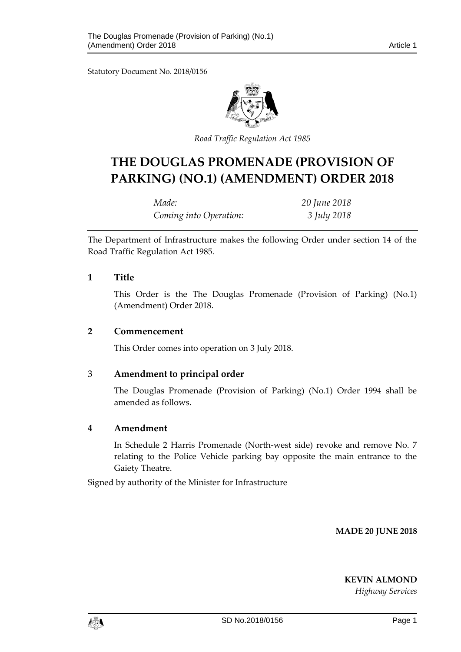Statutory Document No. 2018/0156



*Road Traffic Regulation Act 1985*

# **THE DOUGLAS PROMENADE (PROVISION OF PARKING) (NO.1) (AMENDMENT) ORDER 2018**

| Made:                  | 20 June 2018 |
|------------------------|--------------|
| Coming into Operation: | 3 July 2018  |

The Department of Infrastructure makes the following Order under section 14 of the Road Traffic Regulation Act 1985.

#### **1 Title**

This Order is the The Douglas Promenade (Provision of Parking) (No.1) (Amendment) Order 2018.

#### **2 Commencement**

This Order comes into operation on 3 July 2018.

### 3 **Amendment to principal order**

The Douglas Promenade (Provision of Parking) (No.1) Order 1994 shall be amended as follows.

### **4 Amendment**

In Schedule 2 Harris Promenade (North-west side) revoke and remove No. 7 relating to the Police Vehicle parking bay opposite the main entrance to the Gaiety Theatre.

Signed by authority of the Minister for Infrastructure

**MADE 20 JUNE 2018**

**KEVIN ALMOND**

*Highway Services*